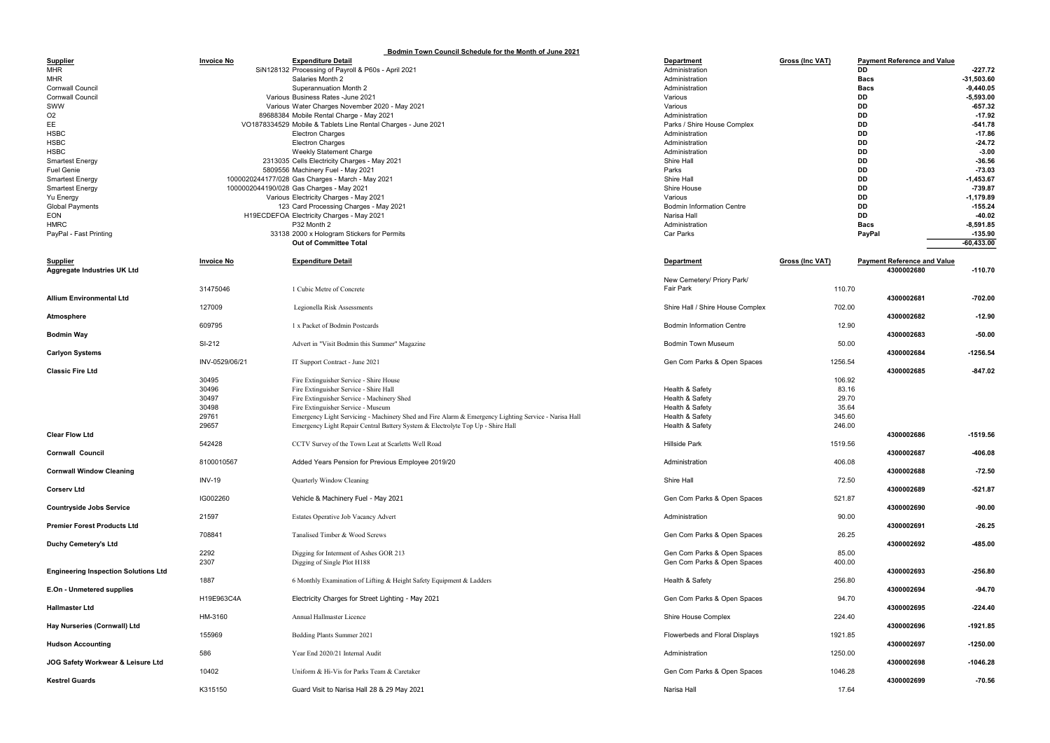## Bodmin Town Council Schedule for the Month of June 2021

|                                             |                   | <u><b>BUGITIME LOWER COUNTING SCREAME FOR THE MONTH OF JUNE 202 L</b></u>                            |                                  |                                                       |              |
|---------------------------------------------|-------------------|------------------------------------------------------------------------------------------------------|----------------------------------|-------------------------------------------------------|--------------|
| <b>Supplier</b>                             | <b>Invoice No</b> | <b>Expenditure Detail</b>                                                                            | <b>Department</b>                | <b>Payment Reference and Value</b><br>Gross (Inc VAT) |              |
| <b>MHR</b>                                  |                   | SiN128132 Processing of Payroll & P60s - April 2021                                                  | Administration                   | DD.                                                   | $-227.72$    |
| <b>MHR</b>                                  |                   | Salaries Month 2                                                                                     | Administration                   | <b>Bacs</b>                                           | -31,503.60   |
| <b>Cornwall Council</b>                     |                   | Superannuation Month 2                                                                               | Administration                   | <b>Bacs</b>                                           | $-9,440.05$  |
| <b>Cornwall Council</b>                     |                   | Various Business Rates - June 2021                                                                   | Various                          | DD                                                    | $-5,593.00$  |
| SWW                                         |                   |                                                                                                      | Various                          |                                                       | $-657.32$    |
|                                             |                   | Various Water Charges November 2020 - May 2021                                                       |                                  | DD                                                    |              |
| O <sub>2</sub>                              |                   | 89688384 Mobile Rental Charge - May 2021                                                             | Administration                   | DD                                                    | $-17.92$     |
| EE                                          |                   | VO1878334529 Mobile & Tablets Line Rental Charges - June 2021                                        | Parks / Shire House Complex      | DD                                                    | $-541.78$    |
| <b>HSBC</b>                                 |                   | <b>Electron Charges</b>                                                                              | Administration                   | DD                                                    | $-17.86$     |
| <b>HSBC</b>                                 |                   | <b>Electron Charges</b>                                                                              | Administration                   | DD                                                    | $-24.72$     |
| <b>HSBC</b>                                 |                   | <b>Weekly Statement Charge</b>                                                                       | Administration                   | DD                                                    | $-3.00$      |
| <b>Smartest Energy</b>                      |                   | 2313035 Cells Electricity Charges - May 2021                                                         | Shire Hall                       | DD                                                    | $-36.56$     |
| <b>Fuel Genie</b>                           |                   | 5809556 Machinery Fuel - May 2021                                                                    | Parks                            | DD                                                    | $-73.03$     |
| <b>Smartest Energy</b>                      |                   | 1000020244177/028 Gas Charges - March - May 2021                                                     | Shire Hall                       | DD                                                    | $-1,453.67$  |
| <b>Smartest Energy</b>                      |                   | 1000002044190/028 Gas Charges - May 2021                                                             | Shire House                      | DD                                                    | $-739.87$    |
| Yu Energy                                   |                   | Various Electricity Charges - May 2021                                                               | Various                          | DD                                                    | -1,179.89    |
| <b>Global Payments</b>                      |                   | 123 Card Processing Charges - May 2021                                                               | <b>Bodmin Information Centre</b> | DD                                                    | $-155.24$    |
| EON                                         |                   | H19ECDEFOA Electricity Charges - May 2021                                                            | Narisa Hall                      | DD                                                    | $-40.02$     |
| <b>HMRC</b>                                 |                   | P32 Month 2                                                                                          | Administration                   | <b>Bacs</b>                                           | $-8,591.85$  |
|                                             |                   |                                                                                                      |                                  |                                                       |              |
| PayPal - Fast Printing                      |                   | 33138 2000 x Hologram Stickers for Permits                                                           | Car Parks                        | PayPal                                                | $-135.90$    |
|                                             |                   | <b>Out of Committee Total</b>                                                                        |                                  |                                                       | $-60,433.00$ |
|                                             |                   |                                                                                                      |                                  |                                                       |              |
| <b>Supplier</b>                             | <b>Invoice No</b> | <b>Expenditure Detail</b>                                                                            | <b>Department</b>                | Gross (Inc VAT)<br><b>Payment Reference and Value</b> |              |
| <b>Aggregate Industries UK Ltd</b>          |                   |                                                                                                      |                                  | 4300002680                                            | $-110.70$    |
|                                             |                   |                                                                                                      | New Cemetery/ Priory Park/       |                                                       |              |
|                                             | 31475046          | 1 Cubic Metre of Concrete                                                                            | <b>Fair Park</b>                 | 110.70                                                |              |
| <b>Allium Environmental Ltd</b>             |                   |                                                                                                      |                                  | 4300002681                                            | $-702.00$    |
|                                             | 127009            | Legionella Risk Assessments                                                                          | Shire Hall / Shire House Complex | 702.00                                                |              |
| Atmosphere                                  |                   |                                                                                                      |                                  | 4300002682                                            | $-12.90$     |
|                                             | 609795            | 1 x Packet of Bodmin Postcards                                                                       | <b>Bodmin Information Centre</b> | 12.90                                                 |              |
| <b>Bodmin Way</b>                           |                   |                                                                                                      |                                  | 4300002683                                            | $-50.00$     |
|                                             | SI-212            |                                                                                                      | <b>Bodmin Town Museum</b>        | 50.00                                                 |              |
|                                             |                   | Advert in "Visit Bodmin this Summer" Magazine                                                        |                                  |                                                       |              |
| <b>Carlyon Systems</b>                      |                   |                                                                                                      |                                  | 4300002684                                            | $-1256.54$   |
|                                             | INV-0529/06/21    | IT Support Contract - June 2021                                                                      | Gen Com Parks & Open Spaces      | 1256.54                                               |              |
| <b>Classic Fire Ltd</b>                     |                   |                                                                                                      |                                  | 4300002685                                            | $-847.02$    |
|                                             | 30495             | Fire Extinguisher Service - Shire House                                                              |                                  | 106.92                                                |              |
|                                             | 30496             | Fire Extinguisher Service - Shire Hall                                                               | Health & Safety                  | 83.16                                                 |              |
|                                             | 30497             | Fire Extinguisher Service - Machinery Shed                                                           | Health & Safety                  | 29.70                                                 |              |
|                                             | 30498             | Fire Extinguisher Service - Museum                                                                   | Health & Safety                  | 35.64                                                 |              |
|                                             | 29761             | Emergency Light Servicing - Machinery Shed and Fire Alarm & Emergency Lighting Service - Narisa Hall | Health & Safety                  | 345.60                                                |              |
|                                             | 29657             | Emergency Light Repair Central Battery System & Electrolyte Top Up - Shire Hall                      | Health & Safety                  | 246.00                                                |              |
| <b>Clear Flow Ltd</b>                       |                   |                                                                                                      |                                  | 4300002686                                            | $-1519.56$   |
|                                             | 542428            | CCTV Survey of the Town Leat at Scarletts Well Road                                                  | <b>Hillside Park</b>             | 1519.56                                               |              |
| <b>Cornwall Council</b>                     |                   |                                                                                                      |                                  | 4300002687                                            | $-406.08$    |
|                                             |                   |                                                                                                      |                                  |                                                       |              |
|                                             | 8100010567        | Added Years Pension for Previous Employee 2019/20                                                    | Administration                   | 406.08                                                |              |
| <b>Cornwall Window Cleaning</b>             |                   |                                                                                                      |                                  | 4300002688                                            | $-72.50$     |
|                                             | <b>INV-19</b>     | Quarterly Window Cleaning                                                                            | Shire Hall                       | 72.50                                                 |              |
| <b>Corserv Ltd</b>                          |                   |                                                                                                      |                                  | 4300002689                                            | $-521.87$    |
|                                             | IG002260          | Vehicle & Machinery Fuel - May 2021                                                                  | Gen Com Parks & Open Spaces      | 521.87                                                |              |
| <b>Countryside Jobs Service</b>             |                   |                                                                                                      |                                  | 4300002690                                            | $-90.00$     |
|                                             | 21597             | Estates Operative Job Vacancy Advert                                                                 | Administration                   | 90.00                                                 |              |
| <b>Premier Forest Products Ltd</b>          |                   |                                                                                                      |                                  | 4300002691                                            | $-26.25$     |
|                                             | 708841            | Tanalised Timber & Wood Screws                                                                       | Gen Com Parks & Open Spaces      | 26.25                                                 |              |
| <b>Duchy Cemetery's Ltd</b>                 |                   |                                                                                                      |                                  | 4300002692                                            | $-485.00$    |
|                                             | 2292              | Digging for Interment of Ashes GOR 213                                                               | Gen Com Parks & Open Spaces      | 85.00                                                 |              |
|                                             | 2307              | Digging of Single Plot H188                                                                          | Gen Com Parks & Open Spaces      | 400.00                                                |              |
|                                             |                   |                                                                                                      |                                  | 4300002693                                            | $-256.80$    |
| <b>Engineering Inspection Solutions Ltd</b> |                   |                                                                                                      |                                  |                                                       |              |
|                                             | 1887              | 6 Monthly Examination of Lifting & Height Safety Equipment & Ladders                                 | Health & Safety                  | 256.80                                                |              |
| E.On - Unmetered supplies                   |                   |                                                                                                      |                                  | 4300002694                                            | $-94.70$     |
|                                             | H19E963C4A        | Electricity Charges for Street Lighting - May 2021                                                   | Gen Com Parks & Open Spaces      | 94.70                                                 |              |
| <b>Hallmaster Ltd</b>                       |                   |                                                                                                      |                                  | 4300002695                                            | $-224.40$    |
|                                             | HM-3160           | Annual Hallmaster Licence                                                                            | Shire House Complex              | 224.40                                                |              |
| Hay Nurseries (Cornwall) Ltd                |                   |                                                                                                      |                                  | 4300002696                                            | $-1921.85$   |
|                                             | 155969            | Bedding Plants Summer 2021                                                                           | Flowerbeds and Floral Displays   | 1921.85                                               |              |
| <b>Hudson Accounting</b>                    |                   |                                                                                                      |                                  | 4300002697                                            | $-1250.00$   |
|                                             | 586               | Year End 2020/21 Internal Audit                                                                      | Administration                   | 1250.00                                               |              |
| JOG Safety Workwear & Leisure Ltd           |                   |                                                                                                      |                                  | 4300002698                                            | $-1046.28$   |
|                                             | 10402             | Uniform & Hi-Vis for Parks Team & Caretaker                                                          | Gen Com Parks & Open Spaces      | 1046.28                                               |              |
| <b>Kestrel Guards</b>                       |                   |                                                                                                      |                                  | 4300002699                                            | $-70.56$     |
|                                             |                   |                                                                                                      |                                  |                                                       |              |
|                                             | K315150           | Guard Visit to Narisa Hall 28 & 29 May 2021                                                          | Narisa Hall                      | 17.64                                                 |              |

| s (Inc VAT)        |             | <b>Payment Reference and Value</b> |              |
|--------------------|-------------|------------------------------------|--------------|
|                    | DD          |                                    | $-227.72$    |
|                    | <b>Bacs</b> |                                    | $-31,503.60$ |
|                    | <b>Bacs</b> |                                    | $-9,440.05$  |
|                    | DD          |                                    | $-5,593.00$  |
|                    | DD          |                                    | $-657.32$    |
|                    | DD          |                                    | $-17.92$     |
|                    | DD          |                                    | $-541.78$    |
|                    | <b>DD</b>   |                                    | $-17.86$     |
|                    | DD          |                                    | $-24.72$     |
|                    | DD          |                                    | $-3.00$      |
|                    | DD          |                                    | $-36.56$     |
|                    | DD          |                                    | -73.03       |
|                    | DD          |                                    | $-1,453.67$  |
|                    | DD          |                                    | $-739.87$    |
|                    | DD          |                                    | $-1,179.89$  |
|                    | DD          |                                    | $-155.24$    |
|                    | DD          |                                    | -40.02       |
|                    | <b>Bacs</b> |                                    | $-8,591.85$  |
|                    | PayPal      |                                    | $-135.90$    |
|                    |             |                                    | $-60,433.00$ |
|                    |             |                                    |              |
| <u>s (Inc VAT)</u> |             | <b>Payment Reference and Value</b> |              |
|                    |             | 4300002680                         | $-110.70$    |
|                    |             |                                    |              |
| 110.70             |             |                                    |              |
|                    |             | 4300002681                         | $-702.00$    |
| 702.00             |             |                                    |              |
|                    |             | 4300002682                         | -12.90       |
| 12.90              |             |                                    |              |
|                    |             | 4300002683                         | $-50.00$     |
| 50.00              |             |                                    |              |
|                    |             | 4300002684                         | $-1256.54$   |
| 1256.54            |             |                                    |              |
|                    |             | 4300002685                         | $-847.02$    |
| 106.92             |             |                                    |              |
| 83.16              |             |                                    |              |
| 29.70              |             |                                    |              |
| 35.64              |             |                                    |              |
| 345.60             |             |                                    |              |
| 246.00             |             |                                    |              |
|                    |             | 4300002686                         | $-1519.56$   |
| 1519.56            |             |                                    |              |
|                    |             | 4300002687                         | $-406.08$    |
| 406.08             |             |                                    |              |
|                    |             | 4300002688                         | $-72.50$     |
| 72.50              |             |                                    |              |
|                    |             | 4300002689                         | $-521.87$    |
| 521.87             |             |                                    |              |
|                    |             | 4300002690                         | -90.00       |
| 90.00              |             |                                    |              |
|                    |             | 4300002691                         | $-26.25$     |
| 26.25              |             |                                    |              |
|                    |             | 4300002692                         | $-485.00$    |
| 85.00              |             |                                    |              |
| 400.00             |             |                                    |              |
|                    |             | 4300002693                         | $-256.80$    |
| 256.80             |             |                                    |              |
|                    |             | 4300002694                         | -94.70       |
| 94.70              |             |                                    |              |
|                    |             | 4300002695                         | -224.40      |
| 224.40             |             |                                    |              |
|                    |             | 4300002696                         | -1921.85     |
| 1921.85            |             |                                    |              |
|                    |             | 4300002697                         | -1250.00     |
| 1250.00            |             |                                    |              |
|                    |             | 4300002698                         | -1046.28     |
| 1046.28            |             |                                    |              |
|                    |             | 4300002699                         | -70.56       |
| 17 64              |             |                                    |              |